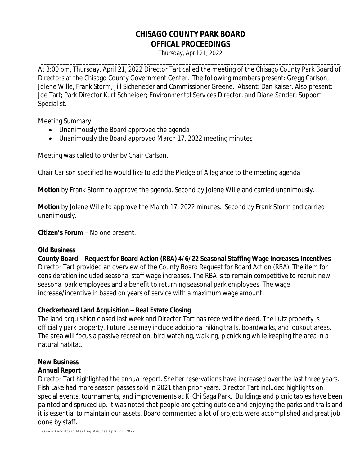# **CHISAGO COUNTY PARK BOARD OFFICAL PROCEEDINGS**

Thursday, April 21, 2022 **\_\_\_\_\_\_\_\_\_\_\_\_\_\_\_\_\_\_\_\_\_\_\_\_\_\_\_\_\_\_\_\_\_\_\_\_\_\_\_\_\_\_\_\_\_\_\_\_\_\_\_\_\_\_\_\_\_\_\_\_\_\_\_\_\_\_\_\_\_\_\_\_\_\_\_\_\_\_\_\_\_\_\_\_\_\_\_\_\_\_\_\_\_**

At 3:00 pm, Thursday, April 21, 2022 Director Tart called the meeting of the Chisago County Park Board of Directors at the Chisago County Government Center. The following members present: Gregg Carlson, Jolene Wille, Frank Storm, Jill Sicheneder and Commissioner Greene. Absent: Dan Kaiser. Also present: Joe Tart; Park Director Kurt Schneider; Environmental Services Director, and Diane Sander; Support Specialist.

Meeting Summary:

- Unanimously the Board approved the agenda
- Unanimously the Board approved March 17, 2022 meeting minutes

Meeting was called to order by Chair Carlson.

Chair Carlson specified he would like to add the Pledge of Allegiance to the meeting agenda.

*Motion* by Frank Storm to approve the agenda. Second by Jolene Wille and carried unanimously.

*Motion* by Jolene Wille to approve the March 17, 2022 minutes. Second by Frank Storm and carried unanimously.

**Citizen's Forum** – No one present.

#### **Old Business**

**County Board – Request for Board Action (RBA) 4/6/22 Seasonal Staffing Wage Increases/Incentives** Director Tart provided an overview of the County Board Request for Board Action (RBA). The item for consideration included seasonal staff wage increases. The RBA is to remain competitive to recruit new seasonal park employees and a benefit to returning seasonal park employees. The wage increase/incentive in based on years of service with a maximum wage amount.

#### **Checkerboard Land Acquisition – Real Estate Closing**

The land acquisition closed last week and Director Tart has received the deed. The Lutz property is officially park property. Future use may include additional hiking trails, boardwalks, and lookout areas. The area will focus a passive recreation, bird watching, walking, picnicking while keeping the area in a natural habitat.

# **New Business**

#### **Annual Report**

Director Tart highlighted the annual report. Shelter reservations have increased over the last three years. Fish Lake had more season passes sold in 2021 than prior years. Director Tart included highlights on special events, tournaments, and improvements at Ki Chi Saga Park. Buildings and picnic tables have been painted and spruced up. It was noted that people are getting outside and enjoying the parks and trails and it is essential to maintain our assets. Board commented a lot of projects were accomplished and great job done by staff.